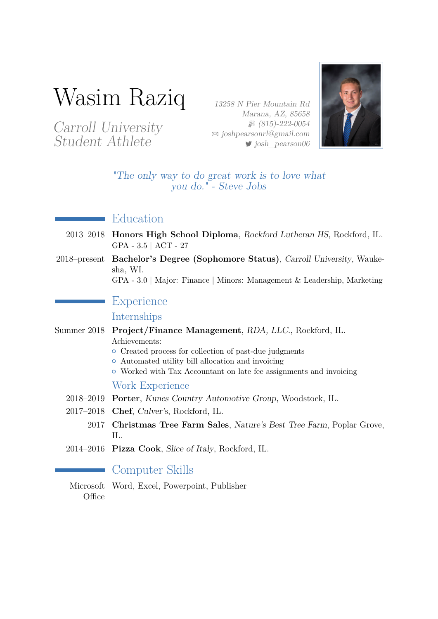# Wasim Raziq

Carroll University Student Athlete

13258 N Pier Mountain Rd Marana, AZ, 85658  $$815)-222-0054$  $\boxtimes$  [joshpearsonrl@gmail.com](mailto:joshpearsonrl@gmail.com)  $\blacktriangleright$  josh pearson06



"The only way to do great work is to love what you do." - Steve Jobs

#### Education

- 2013–2018 **Honors High School Diploma**, Rockford Lutheran HS, Rockford, IL. GPA - 3.5 | ACT - 27
- 2018–present **Bachelor's Degree (Sophomore Status)**, Carroll University, Waukesha, WI.

GPA - 3.0 | Major: Finance | Minors: Management & Leadership, Marketing

#### **Experience**

Internships

- Summer 2018 **Project/Finance Management**, RDA, LLC., Rockford, IL. Achievements:
	- Created process for collection of past-due judgments
	- $\circ$  Automated utility bill allocation and invoicing
	- { Worked with Tax Accountant on late fee assignments and invoicing

#### Work Experience

- 2018–2019 **Porter**, Kunes Country Automotive Group, Woodstock, IL.
- 2017–2018 **Chef**, Culver's, Rockford, IL.
	- 2017 **Christmas Tree Farm Sales**, Nature's Best Tree Farm, Poplar Grove, IL.
- 2014–2016 **Pizza Cook**, Slice of Italy, Rockford, IL.

#### Computer Skills

Microsoft Word, Excel, Powerpoint, Publisher**Office**